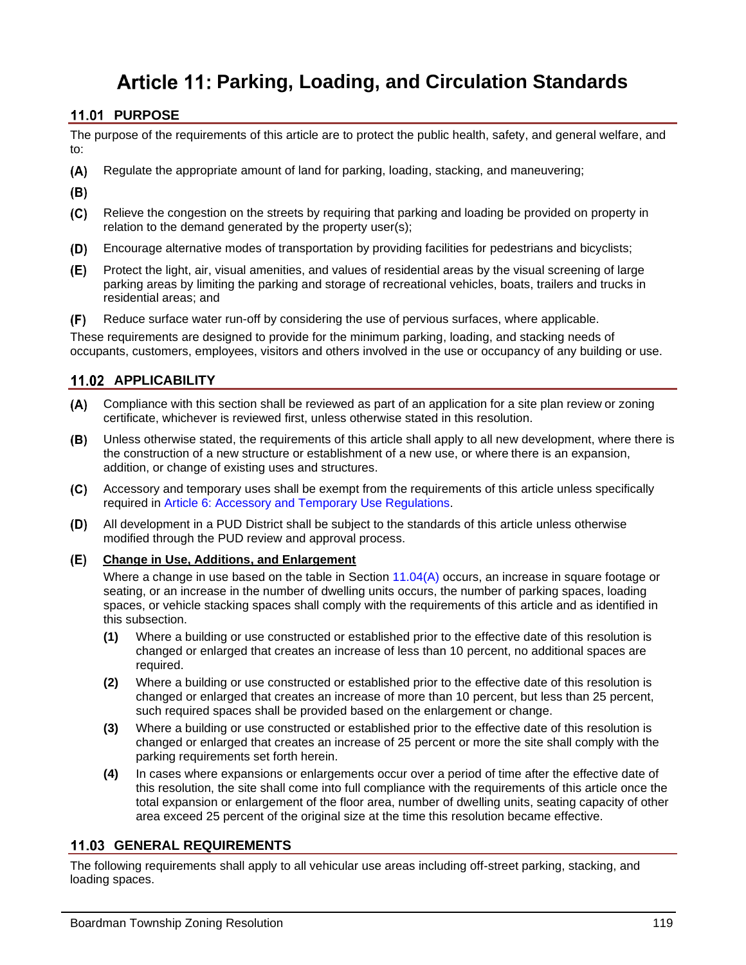# **Parking, Loading, and Circulation Standards**

# **11.01 PURPOSE**

The purpose of the requirements of this article are to protect the public health, safety, and general welfare, and to:

- $(A)$ Regulate the appropriate amount of land for parking, loading, stacking, and maneuvering;
- $(B)$
- $(C)$ Relieve the congestion on the streets by requiring that parking and loading be provided on property in relation to the demand generated by the property user(s);
- $(D)$ Encourage alternative modes of transportation by providing facilities for pedestrians and bicyclists;
- (E) Protect the light, air, visual amenities, and values of residential areas by the visual screening of large parking areas by limiting the parking and storage of recreational vehicles, boats, trailers and trucks in residential areas; and
- $(F)$ Reduce surface water run-off by considering the use of pervious surfaces, where applicable.

These requirements are designed to provide for the minimum parking, loading, and stacking needs of occupants, customers, employees, visitors and others involved in the use or occupancy of any building or use.

# **APPLICABILITY**

- Compliance with this section shall be reviewed as part of an application for a site plan review or zoning certificate, whichever is reviewed first, unless otherwise stated in this resolution.
- $(B)$ Unless otherwise stated, the requirements of this article shall apply to all new development, where there is the construction of a new structure or establishment of a new use, or where there is an expansion, addition, or change of existing uses and structures.
- $(C)$ Accessory and temporary uses shall be exempt from the requirements of this article unless specifically required in Article 6: Accessory and Temporary Use Regulations.
- (D) All development in a PUD District shall be subject to the standards of this article unless otherwise modified through the PUD review and approval process.
- **Change in Use, Additions, and Enlargement**

Where a change in use based on the table in Section [11.04\(A\)](#page-3-0) occurs, an increase in square footage or seating, or an increase in the number of dwelling units occurs, the number of parking spaces, loading spaces, or vehicle stacking spaces shall comply with the requirements of this article and as identified in this subsection.

- **(1)** Where a building or use constructed or established prior to the effective date of this resolution is changed or enlarged that creates an increase of less than 10 percent, no additional spaces are required.
- **(2)** Where a building or use constructed or established prior to the effective date of this resolution is changed or enlarged that creates an increase of more than 10 percent, but less than 25 percent, such required spaces shall be provided based on the enlargement or change.
- **(3)** Where a building or use constructed or established prior to the effective date of this resolution is changed or enlarged that creates an increase of 25 percent or more the site shall comply with the parking requirements set forth herein.
- **(4)** In cases where expansions or enlargements occur over a period of time after the effective date of this resolution, the site shall come into full compliance with the requirements of this article once the total expansion or enlargement of the floor area, number of dwelling units, seating capacity of other area exceed 25 percent of the original size at the time this resolution became effective.

# **GENERAL REQUIREMENTS**

The following requirements shall apply to all vehicular use areas including off-street parking, stacking, and loading spaces.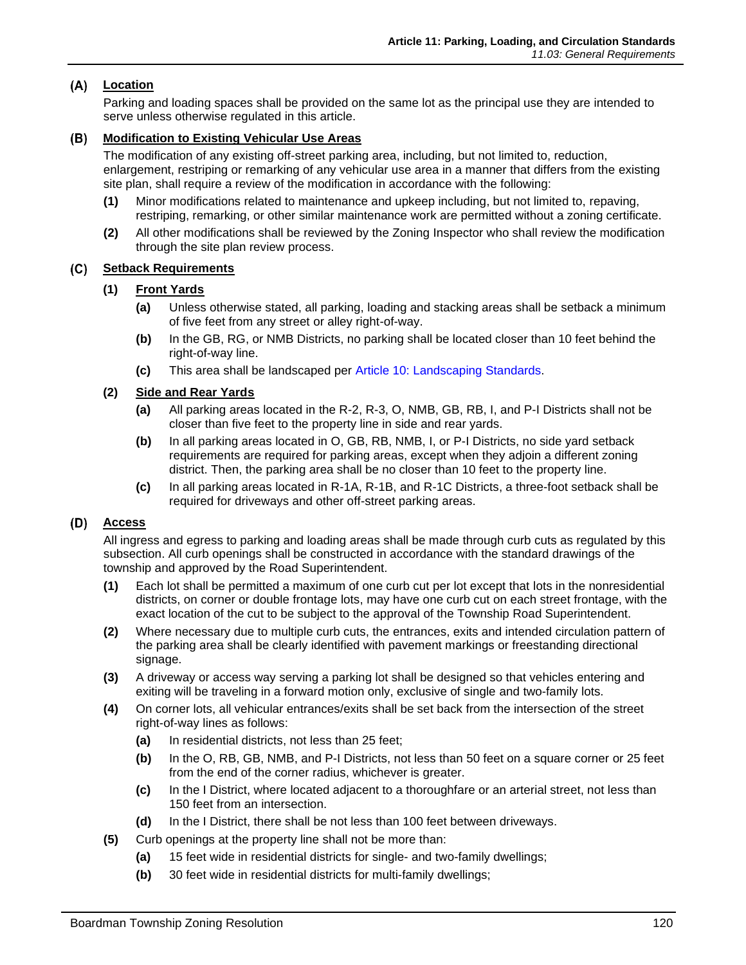# **Location**

Parking and loading spaces shall be provided on the same lot as the principal use they are intended to serve unless otherwise regulated in this article.

## **Modification to Existing Vehicular Use Areas**

The modification of any existing off-street parking area, including, but not limited to, reduction, enlargement, restriping or remarking of any vehicular use area in a manner that differs from the existing site plan, shall require a review of the modification in accordance with the following:

- **(1)** Minor modifications related to maintenance and upkeep including, but not limited to, repaving, restriping, remarking, or other similar maintenance work are permitted without a zoning certificate.
- **(2)** All other modifications shall be reviewed by the Zoning Inspector who shall review the modification through the site plan review process.

# **Setback Requirements**

- **(1) Front Yards**
	- **(a)** Unless otherwise stated, all parking, loading and stacking areas shall be setback a minimum of five feet from any street or alley right-of-way.
	- **(b)** In the GB, RG, or NMB Districts, no parking shall be located closer than 10 feet behind the right-of-way line.
	- **(c)** This area shall be landscaped per Article 10: Landscaping Standards.

## **(2) Side and Rear Yards**

- **(a)** All parking areas located in the R-2, R-3, O, NMB, GB, RB, I, and P-I Districts shall not be closer than five feet to the property line in side and rear yards.
- **(b)** In all parking areas located in O, GB, RB, NMB, I, or P-I Districts, no side yard setback requirements are required for parking areas, except when they adjoin a different zoning district. Then, the parking area shall be no closer than 10 feet to the property line.
- **(c)** In all parking areas located in R-1A, R-1B, and R-1C Districts, a three-foot setback shall be required for driveways and other off-street parking areas.

## **Access**

All ingress and egress to parking and loading areas shall be made through curb cuts as regulated by this subsection. All curb openings shall be constructed in accordance with the standard drawings of the township and approved by the Road Superintendent.

- **(1)** Each lot shall be permitted a maximum of one curb cut per lot except that lots in the nonresidential districts, on corner or double frontage lots, may have one curb cut on each street frontage, with the exact location of the cut to be subject to the approval of the Township Road Superintendent.
- **(2)** Where necessary due to multiple curb cuts, the entrances, exits and intended circulation pattern of the parking area shall be clearly identified with pavement markings or freestanding directional signage.
- **(3)** A driveway or access way serving a parking lot shall be designed so that vehicles entering and exiting will be traveling in a forward motion only, exclusive of single and two-family lots.
- **(4)** On corner lots, all vehicular entrances/exits shall be set back from the intersection of the street right-of-way lines as follows:
	- **(a)** In residential districts, not less than 25 feet;
	- **(b)** In the O, RB, GB, NMB, and P-I Districts, not less than 50 feet on a square corner or 25 feet from the end of the corner radius, whichever is greater.
	- **(c)** In the I District, where located adjacent to a thoroughfare or an arterial street, not less than 150 feet from an intersection.
	- **(d)** In the I District, there shall be not less than 100 feet between driveways.
- **(5)** Curb openings at the property line shall not be more than:
	- **(a)** 15 feet wide in residential districts for single- and two-family dwellings;
	- **(b)** 30 feet wide in residential districts for multi-family dwellings;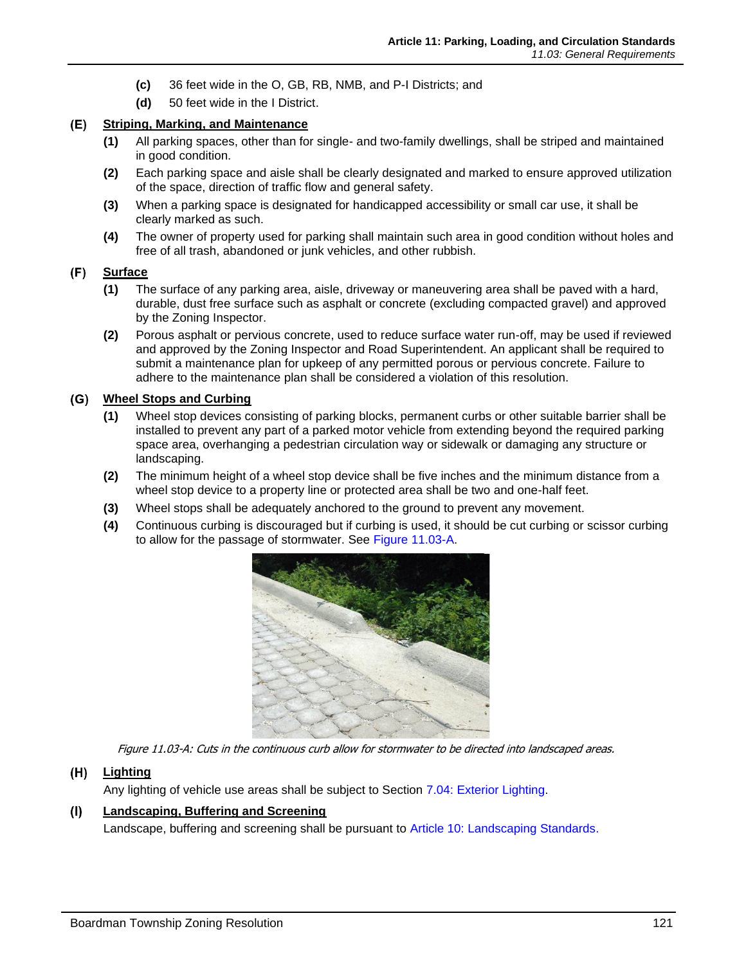- **(c)** 36 feet wide in the O, GB, RB, NMB, and P-I Districts; and
- **(d)** 50 feet wide in the I District.

#### **Striping, Marking, and Maintenance** (E)

- **(1)** All parking spaces, other than for single- and two-family dwellings, shall be striped and maintained in good condition.
- **(2)** Each parking space and aisle shall be clearly designated and marked to ensure approved utilization of the space, direction of traffic flow and general safety.
- **(3)** When a parking space is designated for handicapped accessibility or small car use, it shall be clearly marked as such.
- **(4)** The owner of property used for parking shall maintain such area in good condition without holes and free of all trash, abandoned or junk vehicles, and other rubbish.

#### (F) **Surface**

- **(1)** The surface of any parking area, aisle, driveway or maneuvering area shall be paved with a hard, durable, dust free surface such as asphalt or concrete (excluding compacted gravel) and approved by the Zoning Inspector.
- **(2)** Porous asphalt or pervious concrete, used to reduce surface water run-off, may be used if reviewed and approved by the Zoning Inspector and Road Superintendent. An applicant shall be required to submit a maintenance plan for upkeep of any permitted porous or pervious concrete. Failure to adhere to the maintenance plan shall be considered a violation of this resolution.

# **Wheel Stops and Curbing**

- **(1)** Wheel stop devices consisting of parking blocks, permanent curbs or other suitable barrier shall be installed to prevent any part of a parked motor vehicle from extending beyond the required parking space area, overhanging a pedestrian circulation way or sidewalk or damaging any structure or landscaping.
- **(2)** The minimum height of a wheel stop device shall be five inches and the minimum distance from a wheel stop device to a property line or protected area shall be two and one-half feet.
- **(3)** Wheel stops shall be adequately anchored to the ground to prevent any movement.
- **(4)** Continuous curbing is discouraged but if curbing is used, it should be cut curbing or scissor curbing to allow for the passage of stormwater. See [Figure 11.03-A.](#page-2-0)



Figure 11.03-A: Cuts in the continuous curb allow for stormwater to be directed into landscaped areas.

#### <span id="page-2-0"></span> $(H)$ **Lighting**

Any lighting of vehicle use areas shall be subject to Section 7.04: Exterior Lighting.

#### **Landscaping, Buffering and Screening**  $(1)$

Landscape, buffering and screening shall be pursuant to Article 10: Landscaping Standards.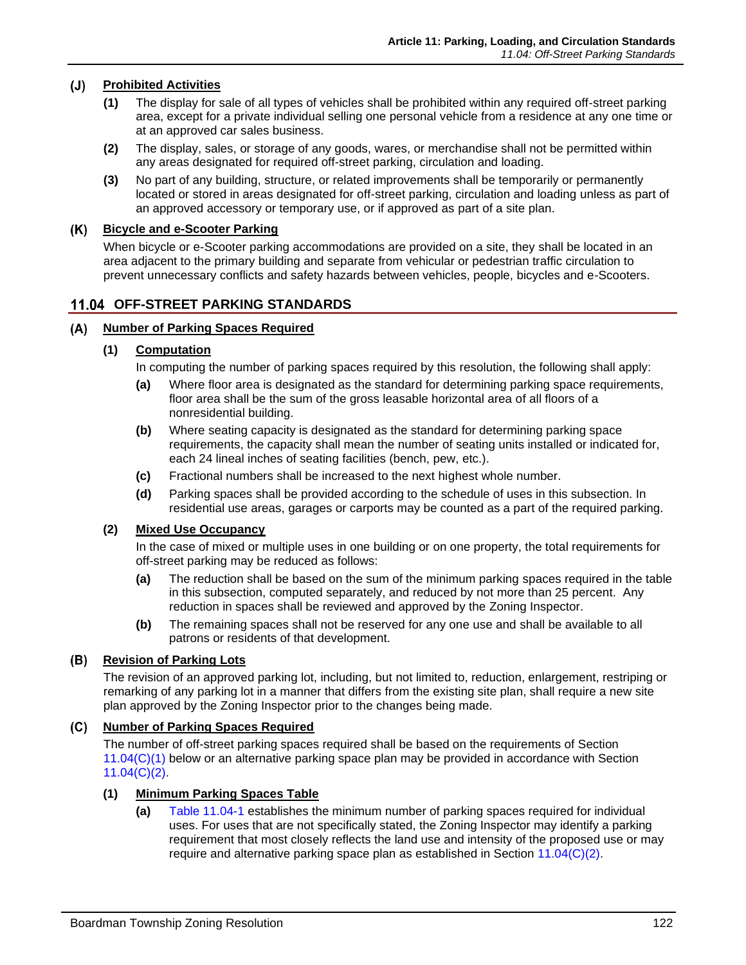#### $(J)$ **Prohibited Activities**

- **(1)** The display for sale of all types of vehicles shall be prohibited within any required off-street parking area, except for a private individual selling one personal vehicle from a residence at any one time or at an approved car sales business.
- **(2)** The display, sales, or storage of any goods, wares, or merchandise shall not be permitted within any areas designated for required off-street parking, circulation and loading.
- **(3)** No part of any building, structure, or related improvements shall be temporarily or permanently located or stored in areas designated for off-street parking, circulation and loading unless as part of an approved accessory or temporary use, or if approved as part of a site plan.

### **Bicycle and e-Scooter Parking**

When bicycle or e-Scooter parking accommodations are provided on a site, they shall be located in an area adjacent to the primary building and separate from vehicular or pedestrian traffic circulation to prevent unnecessary conflicts and safety hazards between vehicles, people, bicycles and e-Scooters.

## **11.04 OFF-STREET PARKING STANDARDS**

### <span id="page-3-0"></span>**Number of Parking Spaces Required**

### **(1) Computation**

In computing the number of parking spaces required by this resolution, the following shall apply:

- **(a)** Where floor area is designated as the standard for determining parking space requirements, floor area shall be the sum of the gross leasable horizontal area of all floors of a nonresidential building.
- **(b)** Where seating capacity is designated as the standard for determining parking space requirements, the capacity shall mean the number of seating units installed or indicated for, each 24 lineal inches of seating facilities (bench, pew, etc.).
- **(c)** Fractional numbers shall be increased to the next highest whole number.
- **(d)** Parking spaces shall be provided according to the schedule of uses in this subsection. In residential use areas, garages or carports may be counted as a part of the required parking.

### **(2) Mixed Use Occupancy**

In the case of mixed or multiple uses in one building or on one property, the total requirements for off-street parking may be reduced as follows:

- **(a)** The reduction shall be based on the sum of the minimum parking spaces required in the table in this subsection, computed separately, and reduced by not more than 25 percent. Any reduction in spaces shall be reviewed and approved by the Zoning Inspector.
- **(b)** The remaining spaces shall not be reserved for any one use and shall be available to all patrons or residents of that development.

# **Revision of Parking Lots**

The revision of an approved parking lot, including, but not limited to, reduction, enlargement, restriping or remarking of any parking lot in a manner that differs from the existing site plan, shall require a new site plan approved by the Zoning Inspector prior to the changes being made.

## **Number of Parking Spaces Required**

The number of off-street parking spaces required shall be based on the requirements of Section [11.04\(C\)\(1\)](#page-3-1) below or an alternative parking space plan may be provided in accordance with Section [11.04\(C\)\(2\).](#page-5-0)

### <span id="page-3-1"></span>**(1) Minimum Parking Spaces Table**

**(a)** [Table 11.04-1](#page-4-0) establishes the minimum number of parking spaces required for individual uses. For uses that are not specifically stated, the Zoning Inspector may identify a parking requirement that most closely reflects the land use and intensity of the proposed use or may require and alternative parking space plan as established in Section [11.04\(C\)\(2\).](#page-5-0)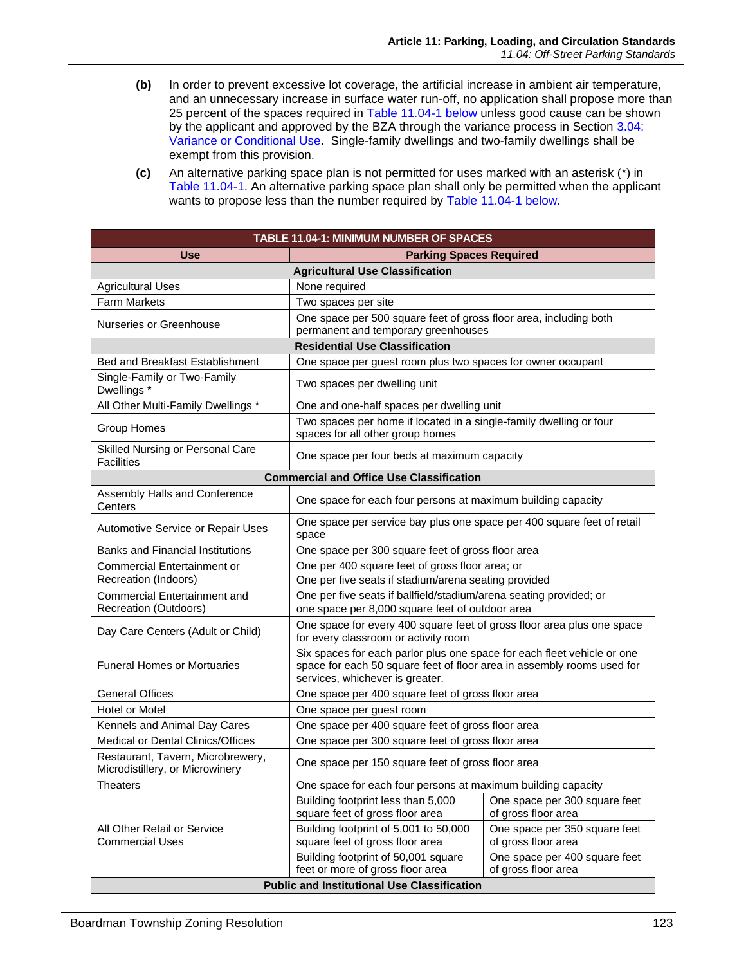- **(b)** In order to prevent excessive lot coverage, the artificial increase in ambient air temperature, and an unnecessary increase in surface water run-off, no application shall propose more than 25 percent of the spaces required in [Table 11.04-1](#page-4-0) below unless good cause can be shown by the applicant and approved by the BZA through the variance process in Section 3.04: Variance or Conditional Use. Single-family dwellings and two-family dwellings shall be exempt from this provision.
- **(c)** An alternative parking space plan is not permitted for uses marked with an asterisk (\*) in [Table 11.04-1.](#page-4-0) An alternative parking space plan shall only be permitted when the applicant wants to propose less than the number required by [Table 11.04-1](#page-4-0) below.

<span id="page-4-0"></span>

| <b>TABLE 11.04-1: MINIMUM NUMBER OF SPACES</b>                       |                                                                                                                                                                                      |                                                      |  |  |  |  |
|----------------------------------------------------------------------|--------------------------------------------------------------------------------------------------------------------------------------------------------------------------------------|------------------------------------------------------|--|--|--|--|
| Use<br><b>Parking Spaces Required</b>                                |                                                                                                                                                                                      |                                                      |  |  |  |  |
| <b>Agricultural Use Classification</b>                               |                                                                                                                                                                                      |                                                      |  |  |  |  |
| <b>Agricultural Uses</b>                                             | None required                                                                                                                                                                        |                                                      |  |  |  |  |
| <b>Farm Markets</b>                                                  | Two spaces per site                                                                                                                                                                  |                                                      |  |  |  |  |
| Nurseries or Greenhouse                                              | One space per 500 square feet of gross floor area, including both<br>permanent and temporary greenhouses                                                                             |                                                      |  |  |  |  |
| <b>Residential Use Classification</b>                                |                                                                                                                                                                                      |                                                      |  |  |  |  |
| <b>Bed and Breakfast Establishment</b>                               | One space per guest room plus two spaces for owner occupant                                                                                                                          |                                                      |  |  |  |  |
| Single-Family or Two-Family<br>Dwellings *                           | Two spaces per dwelling unit                                                                                                                                                         |                                                      |  |  |  |  |
| All Other Multi-Family Dwellings *                                   | One and one-half spaces per dwelling unit                                                                                                                                            |                                                      |  |  |  |  |
| Group Homes                                                          | Two spaces per home if located in a single-family dwelling or four<br>spaces for all other group homes                                                                               |                                                      |  |  |  |  |
| Skilled Nursing or Personal Care<br><b>Facilities</b>                | One space per four beds at maximum capacity                                                                                                                                          |                                                      |  |  |  |  |
|                                                                      | <b>Commercial and Office Use Classification</b>                                                                                                                                      |                                                      |  |  |  |  |
| Assembly Halls and Conference<br>Centers                             | One space for each four persons at maximum building capacity                                                                                                                         |                                                      |  |  |  |  |
| Automotive Service or Repair Uses                                    | One space per service bay plus one space per 400 square feet of retail<br>space                                                                                                      |                                                      |  |  |  |  |
| <b>Banks and Financial Institutions</b>                              | One space per 300 square feet of gross floor area                                                                                                                                    |                                                      |  |  |  |  |
| <b>Commercial Entertainment or</b>                                   | One per 400 square feet of gross floor area; or                                                                                                                                      |                                                      |  |  |  |  |
| Recreation (Indoors)                                                 | One per five seats if stadium/arena seating provided                                                                                                                                 |                                                      |  |  |  |  |
| Commercial Entertainment and                                         | One per five seats if ballfield/stadium/arena seating provided; or                                                                                                                   |                                                      |  |  |  |  |
| Recreation (Outdoors)                                                | one space per 8,000 square feet of outdoor area                                                                                                                                      |                                                      |  |  |  |  |
| Day Care Centers (Adult or Child)                                    | One space for every 400 square feet of gross floor area plus one space<br>for every classroom or activity room                                                                       |                                                      |  |  |  |  |
| <b>Funeral Homes or Mortuaries</b>                                   | Six spaces for each parlor plus one space for each fleet vehicle or one<br>space for each 50 square feet of floor area in assembly rooms used for<br>services, whichever is greater. |                                                      |  |  |  |  |
| <b>General Offices</b>                                               | One space per 400 square feet of gross floor area                                                                                                                                    |                                                      |  |  |  |  |
| Hotel or Motel                                                       | One space per guest room                                                                                                                                                             |                                                      |  |  |  |  |
| Kennels and Animal Day Cares                                         | One space per 400 square feet of gross floor area                                                                                                                                    |                                                      |  |  |  |  |
| Medical or Dental Clinics/Offices                                    | One space per 300 square feet of gross floor area                                                                                                                                    |                                                      |  |  |  |  |
| Restaurant, Tavern, Microbrewery,<br>Microdistillery, or Microwinery | One space per 150 square feet of gross floor area                                                                                                                                    |                                                      |  |  |  |  |
| <b>Theaters</b>                                                      | One space for each four persons at maximum building capacity                                                                                                                         |                                                      |  |  |  |  |
|                                                                      | Building footprint less than 5,000<br>square feet of gross floor area                                                                                                                | One space per 300 square feet<br>of gross floor area |  |  |  |  |
| All Other Retail or Service                                          | Building footprint of 5,001 to 50,000                                                                                                                                                | One space per 350 square feet                        |  |  |  |  |
| <b>Commercial Uses</b>                                               | square feet of gross floor area                                                                                                                                                      | of gross floor area                                  |  |  |  |  |
|                                                                      | Building footprint of 50,001 square<br>feet or more of gross floor area                                                                                                              | One space per 400 square feet<br>of gross floor area |  |  |  |  |
| <b>Public and Institutional Use Classification</b>                   |                                                                                                                                                                                      |                                                      |  |  |  |  |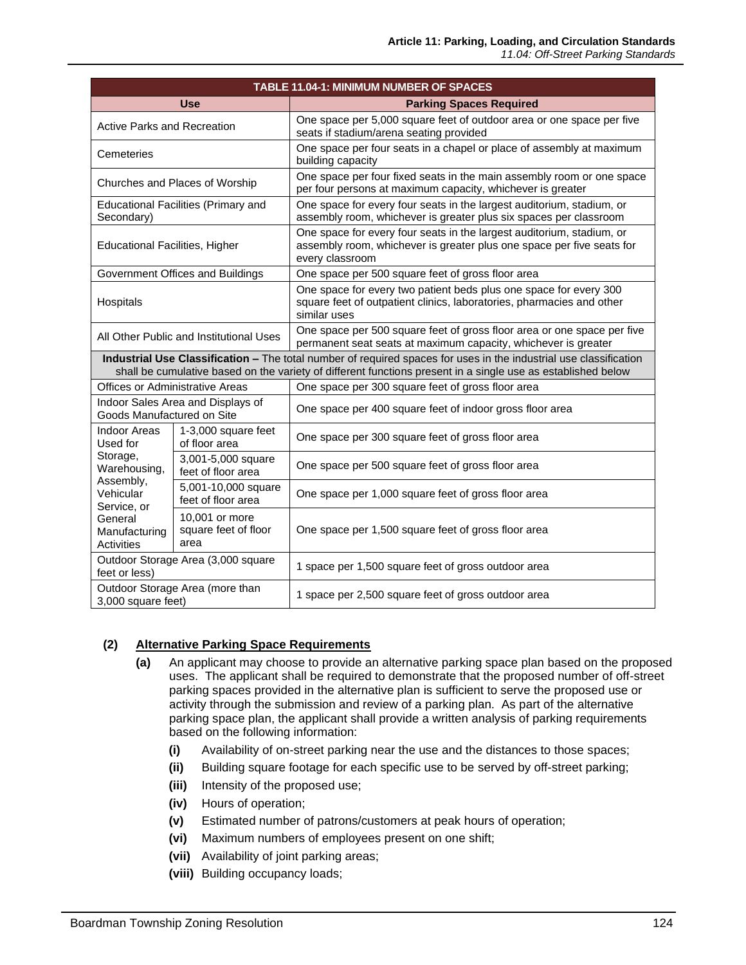| TABLE 11.04-1: MINIMUM NUMBER OF SPACES                                                                                                                                                                                           |                                                |                                                                                                                                                                   |  |  |  |
|-----------------------------------------------------------------------------------------------------------------------------------------------------------------------------------------------------------------------------------|------------------------------------------------|-------------------------------------------------------------------------------------------------------------------------------------------------------------------|--|--|--|
|                                                                                                                                                                                                                                   | <b>Use</b>                                     | <b>Parking Spaces Required</b>                                                                                                                                    |  |  |  |
| <b>Active Parks and Recreation</b>                                                                                                                                                                                                |                                                | One space per 5,000 square feet of outdoor area or one space per five<br>seats if stadium/arena seating provided                                                  |  |  |  |
| Cemeteries                                                                                                                                                                                                                        |                                                | One space per four seats in a chapel or place of assembly at maximum<br>building capacity                                                                         |  |  |  |
| Churches and Places of Worship                                                                                                                                                                                                    |                                                | One space per four fixed seats in the main assembly room or one space<br>per four persons at maximum capacity, whichever is greater                               |  |  |  |
| <b>Educational Facilities (Primary and</b><br>Secondary)                                                                                                                                                                          |                                                | One space for every four seats in the largest auditorium, stadium, or<br>assembly room, whichever is greater plus six spaces per classroom                        |  |  |  |
| <b>Educational Facilities, Higher</b>                                                                                                                                                                                             |                                                | One space for every four seats in the largest auditorium, stadium, or<br>assembly room, whichever is greater plus one space per five seats for<br>every classroom |  |  |  |
|                                                                                                                                                                                                                                   | Government Offices and Buildings               | One space per 500 square feet of gross floor area                                                                                                                 |  |  |  |
| Hospitals                                                                                                                                                                                                                         |                                                | One space for every two patient beds plus one space for every 300<br>square feet of outpatient clinics, laboratories, pharmacies and other<br>similar uses        |  |  |  |
| All Other Public and Institutional Uses                                                                                                                                                                                           |                                                | One space per 500 square feet of gross floor area or one space per five<br>permanent seat seats at maximum capacity, whichever is greater                         |  |  |  |
| Industrial Use Classification - The total number of required spaces for uses in the industrial use classification<br>shall be cumulative based on the variety of different functions present in a single use as established below |                                                |                                                                                                                                                                   |  |  |  |
| Offices or Administrative Areas                                                                                                                                                                                                   |                                                | One space per 300 square feet of gross floor area                                                                                                                 |  |  |  |
| Indoor Sales Area and Displays of<br>Goods Manufactured on Site                                                                                                                                                                   |                                                | One space per 400 square feet of indoor gross floor area                                                                                                          |  |  |  |
| <b>Indoor Areas</b><br>Used for<br>Storage,<br>Warehousing,<br>Assembly,<br>Vehicular<br>Service, or<br>General<br>Manufacturing<br>Activities                                                                                    | 1-3,000 square feet<br>of floor area           | One space per 300 square feet of gross floor area                                                                                                                 |  |  |  |
|                                                                                                                                                                                                                                   | 3,001-5,000 square<br>feet of floor area       | One space per 500 square feet of gross floor area                                                                                                                 |  |  |  |
|                                                                                                                                                                                                                                   | 5,001-10,000 square<br>feet of floor area      | One space per 1,000 square feet of gross floor area                                                                                                               |  |  |  |
|                                                                                                                                                                                                                                   | 10,001 or more<br>square feet of floor<br>area | One space per 1,500 square feet of gross floor area                                                                                                               |  |  |  |
| Outdoor Storage Area (3,000 square<br>feet or less)                                                                                                                                                                               |                                                | 1 space per 1,500 square feet of gross outdoor area                                                                                                               |  |  |  |
| Outdoor Storage Area (more than<br>3,000 square feet)                                                                                                                                                                             |                                                | 1 space per 2,500 square feet of gross outdoor area                                                                                                               |  |  |  |

# <span id="page-5-0"></span>**(2) Alternative Parking Space Requirements**

- **(a)** An applicant may choose to provide an alternative parking space plan based on the proposed uses. The applicant shall be required to demonstrate that the proposed number of off-street parking spaces provided in the alternative plan is sufficient to serve the proposed use or activity through the submission and review of a parking plan. As part of the alternative parking space plan, the applicant shall provide a written analysis of parking requirements based on the following information:
	- **(i)** Availability of on-street parking near the use and the distances to those spaces;
	- **(ii)** Building square footage for each specific use to be served by off-street parking;
	- **(iii)** Intensity of the proposed use;
	- **(iv)** Hours of operation;
	- **(v)** Estimated number of patrons/customers at peak hours of operation;
	- **(vi)** Maximum numbers of employees present on one shift;
	- **(vii)** Availability of joint parking areas;
	- **(viii)** Building occupancy loads;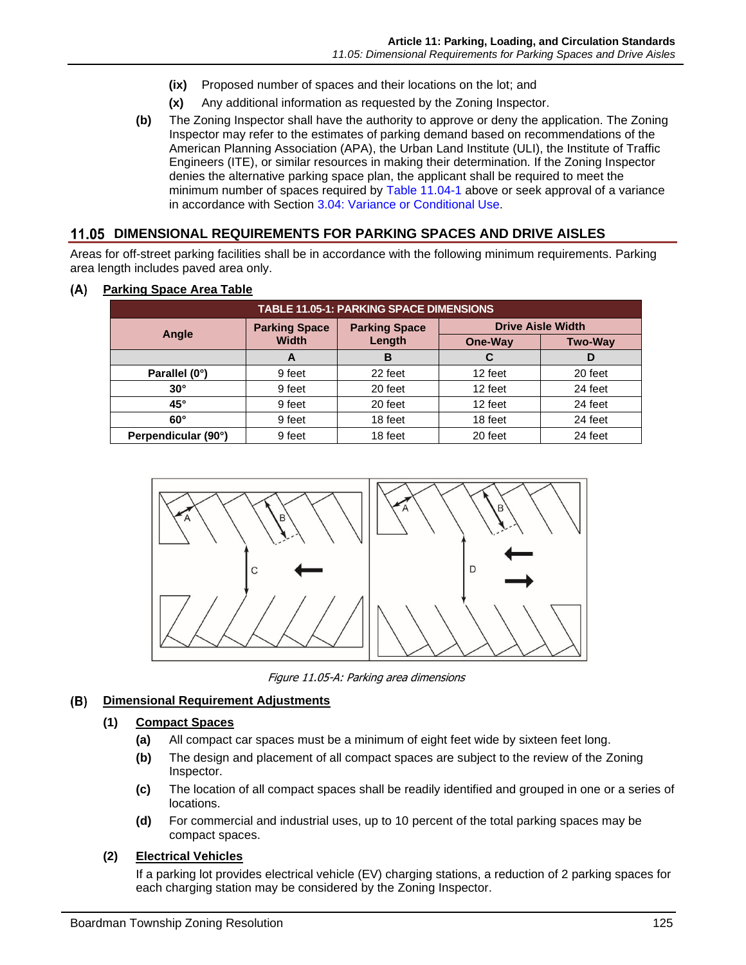- **(ix)** Proposed number of spaces and their locations on the lot; and
- **(x)** Any additional information as requested by the Zoning Inspector.
- **(b)** The Zoning Inspector shall have the authority to approve or deny the application. The Zoning Inspector may refer to the estimates of parking demand based on recommendations of the American Planning Association (APA), the Urban Land Institute (ULI), the Institute of Traffic Engineers (ITE), or similar resources in making their determination. If the Zoning Inspector denies the alternative parking space plan, the applicant shall be required to meet the minimum number of spaces required by [Table 11.04-1](#page-4-0) above or seek approval of a variance in accordance with Section 3.04: Variance or Conditional Use.

# **11.05 DIMENSIONAL REQUIREMENTS FOR PARKING SPACES AND DRIVE AISLES**

Areas for off-street parking facilities shall be in accordance with the following minimum requirements. Parking area length includes paved area only.

| <b>TABLE 11.05-1: PARKING SPACE DIMENSIONS</b> |                                      |                                |                          |                |  |
|------------------------------------------------|--------------------------------------|--------------------------------|--------------------------|----------------|--|
| Angle                                          | <b>Parking Space</b><br><b>Width</b> | <b>Parking Space</b><br>Length | <b>Drive Aisle Width</b> |                |  |
|                                                |                                      |                                | One-Way                  | <b>Two-Way</b> |  |
|                                                | A                                    | B                              | C                        | D              |  |
| Parallel (0°)                                  | 9 feet                               | 22 feet                        | 12 feet                  | 20 feet        |  |
| $30^\circ$                                     | 9 feet                               | 20 feet                        | 12 feet                  | 24 feet        |  |
| $45^\circ$                                     | 9 feet                               | 20 feet                        | 12 feet                  | 24 feet        |  |
| $60^\circ$                                     | 9 feet                               | 18 feet                        | 18 feet                  | 24 feet        |  |
| Perpendicular (90°)                            | 9 feet                               | 18 feet                        | 20 feet                  | 24 feet        |  |

#### **Parking Space Area Table**  $(A)$



Figure 11.05-A: Parking area dimensions

#### **Dimensional Requirement Adjustments** (B)

# **(1) Compact Spaces**

- **(a)** All compact car spaces must be a minimum of eight feet wide by sixteen feet long.
- **(b)** The design and placement of all compact spaces are subject to the review of the Zoning Inspector.
- **(c)** The location of all compact spaces shall be readily identified and grouped in one or a series of locations.
- **(d)** For commercial and industrial uses, up to 10 percent of the total parking spaces may be compact spaces.

# **(2) Electrical Vehicles**

If a parking lot provides electrical vehicle (EV) charging stations, a reduction of 2 parking spaces for each charging station may be considered by the Zoning Inspector.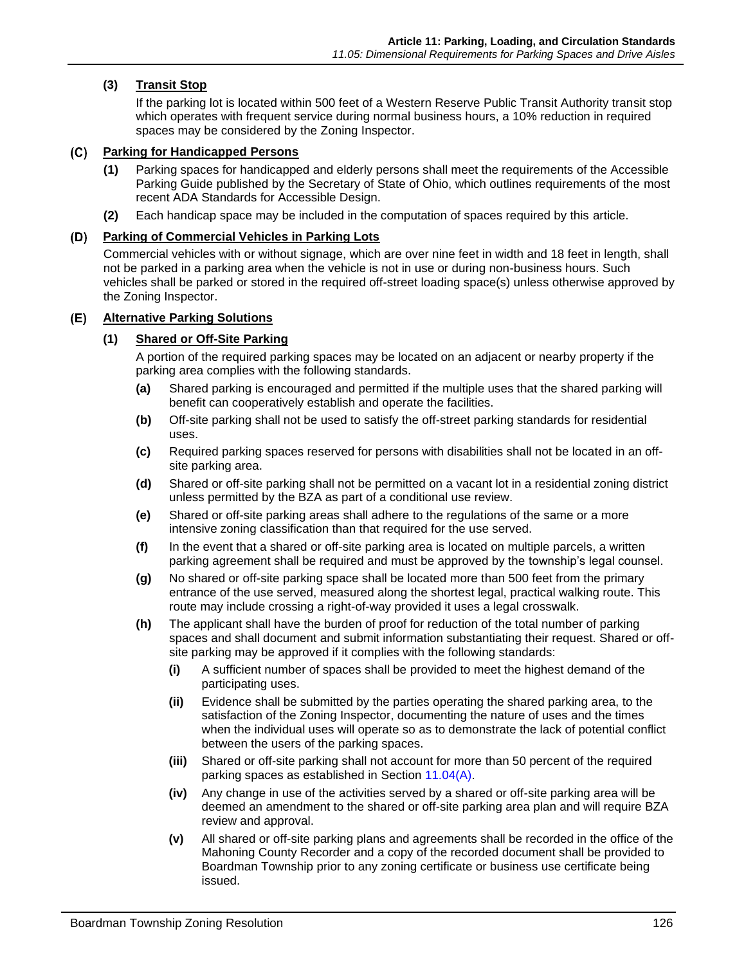# **(3) Transit Stop**

If the parking lot is located within 500 feet of a Western Reserve Public Transit Authority transit stop which operates with frequent service during normal business hours, a 10% reduction in required spaces may be considered by the Zoning Inspector.

# **Parking for Handicapped Persons**

- **(1)** Parking spaces for handicapped and elderly persons shall meet the requirements of the Accessible Parking Guide published by the Secretary of State of Ohio, which outlines requirements of the most recent ADA Standards for Accessible Design.
- **(2)** Each handicap space may be included in the computation of spaces required by this article.

# **Parking of Commercial Vehicles in Parking Lots**

Commercial vehicles with or without signage, which are over nine feet in width and 18 feet in length, shall not be parked in a parking area when the vehicle is not in use or during non-business hours. Such vehicles shall be parked or stored in the required off-street loading space(s) unless otherwise approved by the Zoning Inspector.

# **Alternative Parking Solutions**

# **(1) Shared or Off-Site Parking**

A portion of the required parking spaces may be located on an adjacent or nearby property if the parking area complies with the following standards.

- **(a)** Shared parking is encouraged and permitted if the multiple uses that the shared parking will benefit can cooperatively establish and operate the facilities.
- **(b)** Off-site parking shall not be used to satisfy the off-street parking standards for residential uses.
- **(c)** Required parking spaces reserved for persons with disabilities shall not be located in an offsite parking area.
- **(d)** Shared or off-site parking shall not be permitted on a vacant lot in a residential zoning district unless permitted by the BZA as part of a conditional use review.
- **(e)** Shared or off-site parking areas shall adhere to the regulations of the same or a more intensive zoning classification than that required for the use served.
- **(f)** In the event that a shared or off-site parking area is located on multiple parcels, a written parking agreement shall be required and must be approved by the township's legal counsel.
- **(g)** No shared or off-site parking space shall be located more than 500 feet from the primary entrance of the use served, measured along the shortest legal, practical walking route. This route may include crossing a right-of-way provided it uses a legal crosswalk.
- **(h)** The applicant shall have the burden of proof for reduction of the total number of parking spaces and shall document and submit information substantiating their request. Shared or offsite parking may be approved if it complies with the following standards:
	- **(i)** A sufficient number of spaces shall be provided to meet the highest demand of the participating uses.
	- **(ii)** Evidence shall be submitted by the parties operating the shared parking area, to the satisfaction of the Zoning Inspector, documenting the nature of uses and the times when the individual uses will operate so as to demonstrate the lack of potential conflict between the users of the parking spaces.
	- **(iii)** Shared or off-site parking shall not account for more than 50 percent of the required parking spaces as established in Section [11.04\(A\).](#page-3-0)
	- **(iv)** Any change in use of the activities served by a shared or off-site parking area will be deemed an amendment to the shared or off-site parking area plan and will require BZA review and approval.
	- **(v)** All shared or off-site parking plans and agreements shall be recorded in the office of the Mahoning County Recorder and a copy of the recorded document shall be provided to Boardman Township prior to any zoning certificate or business use certificate being issued.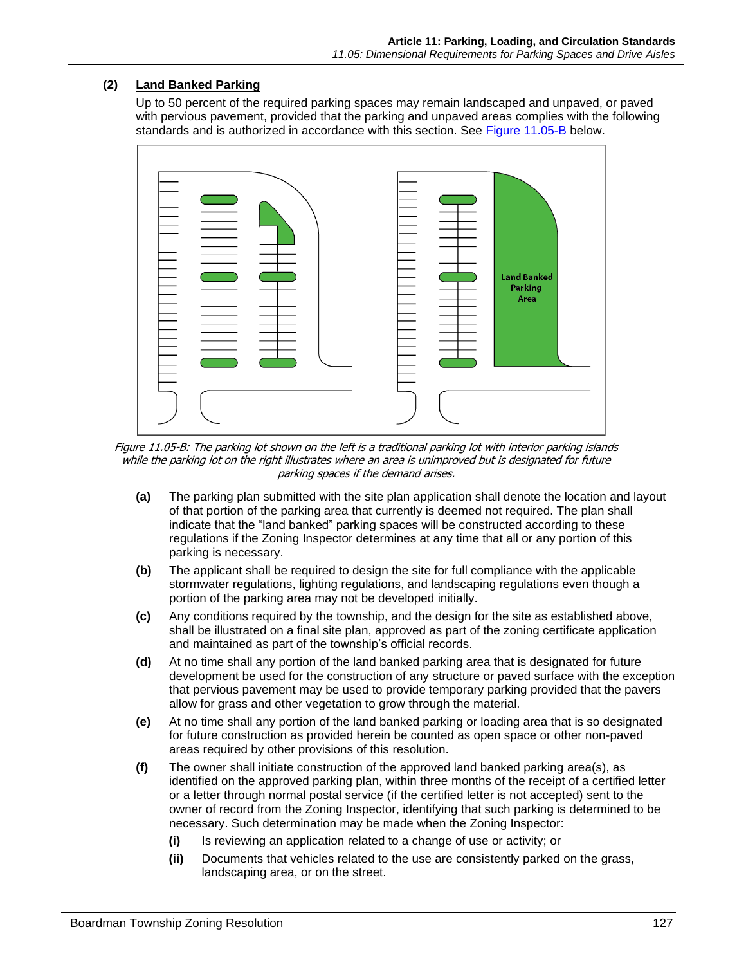# **(2) Land Banked Parking**

Up to 50 percent of the required parking spaces may remain landscaped and unpaved, or paved with pervious pavement, provided that the parking and unpaved areas complies with the following standards and is authorized in accordance with this section. See [Figure 11.05-B](#page-8-0) below.



<span id="page-8-0"></span>Figure 11.05-B: The parking lot shown on the left is a traditional parking lot with interior parking islands while the parking lot on the right illustrates where an area is unimproved but is designated for future parking spaces if the demand arises.

- **(a)** The parking plan submitted with the site plan application shall denote the location and layout of that portion of the parking area that currently is deemed not required. The plan shall indicate that the "land banked" parking spaces will be constructed according to these regulations if the Zoning Inspector determines at any time that all or any portion of this parking is necessary.
- **(b)** The applicant shall be required to design the site for full compliance with the applicable stormwater regulations, lighting regulations, and landscaping regulations even though a portion of the parking area may not be developed initially.
- **(c)** Any conditions required by the township, and the design for the site as established above, shall be illustrated on a final site plan, approved as part of the zoning certificate application and maintained as part of the township's official records.
- **(d)** At no time shall any portion of the land banked parking area that is designated for future development be used for the construction of any structure or paved surface with the exception that pervious pavement may be used to provide temporary parking provided that the pavers allow for grass and other vegetation to grow through the material.
- **(e)** At no time shall any portion of the land banked parking or loading area that is so designated for future construction as provided herein be counted as open space or other non-paved areas required by other provisions of this resolution.
- **(f)** The owner shall initiate construction of the approved land banked parking area(s), as identified on the approved parking plan, within three months of the receipt of a certified letter or a letter through normal postal service (if the certified letter is not accepted) sent to the owner of record from the Zoning Inspector, identifying that such parking is determined to be necessary. Such determination may be made when the Zoning Inspector:
	- **(i)** Is reviewing an application related to a change of use or activity; or
	- **(ii)** Documents that vehicles related to the use are consistently parked on the grass, landscaping area, or on the street.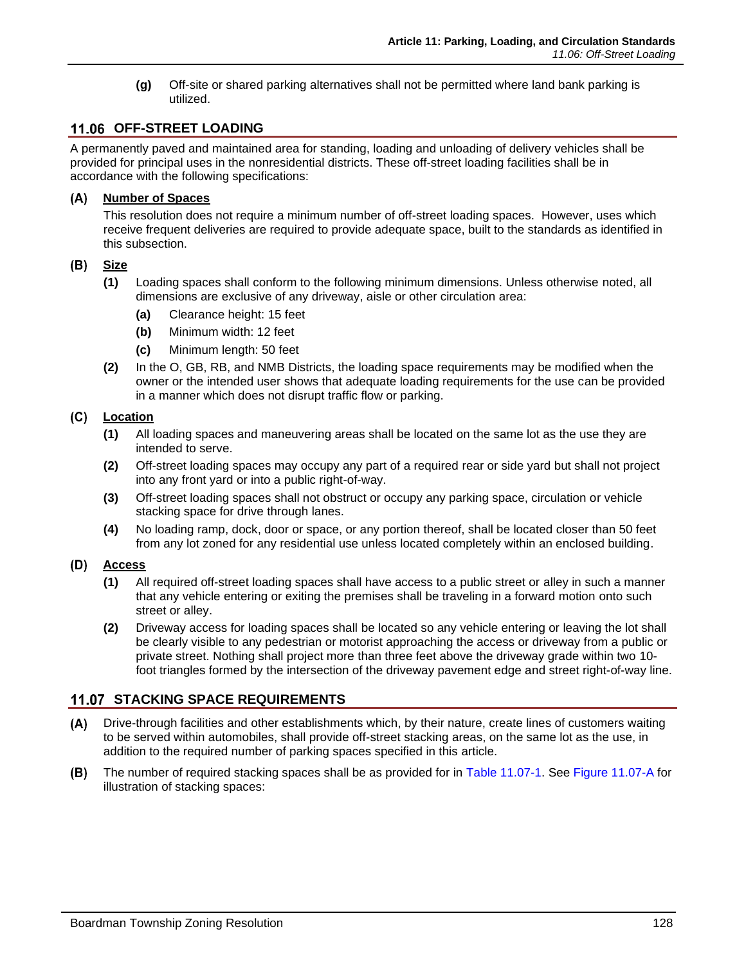**(g)** Off-site or shared parking alternatives shall not be permitted where land bank parking is utilized.

# **OFF-STREET LOADING**

A permanently paved and maintained area for standing, loading and unloading of delivery vehicles shall be provided for principal uses in the nonresidential districts. These off-street loading facilities shall be in accordance with the following specifications:

### **Number of Spaces**

This resolution does not require a minimum number of off-street loading spaces. However, uses which receive frequent deliveries are required to provide adequate space, built to the standards as identified in this subsection.

#### (B) **Size**

- **(1)** Loading spaces shall conform to the following minimum dimensions. Unless otherwise noted, all dimensions are exclusive of any driveway, aisle or other circulation area:
	- **(a)** Clearance height: 15 feet
	- **(b)** Minimum width: 12 feet
	- **(c)** Minimum length: 50 feet
- **(2)** In the O, GB, RB, and NMB Districts, the loading space requirements may be modified when the owner or the intended user shows that adequate loading requirements for the use can be provided in a manner which does not disrupt traffic flow or parking.

## **Location**

- **(1)** All loading spaces and maneuvering areas shall be located on the same lot as the use they are intended to serve.
- **(2)** Off-street loading spaces may occupy any part of a required rear or side yard but shall not project into any front yard or into a public right-of-way.
- **(3)** Off-street loading spaces shall not obstruct or occupy any parking space, circulation or vehicle stacking space for drive through lanes.
- **(4)** No loading ramp, dock, door or space, or any portion thereof, shall be located closer than 50 feet from any lot zoned for any residential use unless located completely within an enclosed building.

#### (D) **Access**

- **(1)** All required off-street loading spaces shall have access to a public street or alley in such a manner that any vehicle entering or exiting the premises shall be traveling in a forward motion onto such street or alley.
- **(2)** Driveway access for loading spaces shall be located so any vehicle entering or leaving the lot shall be clearly visible to any pedestrian or motorist approaching the access or driveway from a public or private street. Nothing shall project more than three feet above the driveway grade within two 10 foot triangles formed by the intersection of the driveway pavement edge and street right-of-way line.

# **11.07 STACKING SPACE REQUIREMENTS**

- Drive-through facilities and other establishments which, by their nature, create lines of customers waiting  $(A)$ to be served within automobiles, shall provide off-street stacking areas, on the same lot as the use, in addition to the required number of parking spaces specified in this article.
- (B) The number of required stacking spaces shall be as provided for in [Table 11.07-1.](#page-10-0) See [Figure 11.07-A](#page-10-1) for illustration of stacking spaces: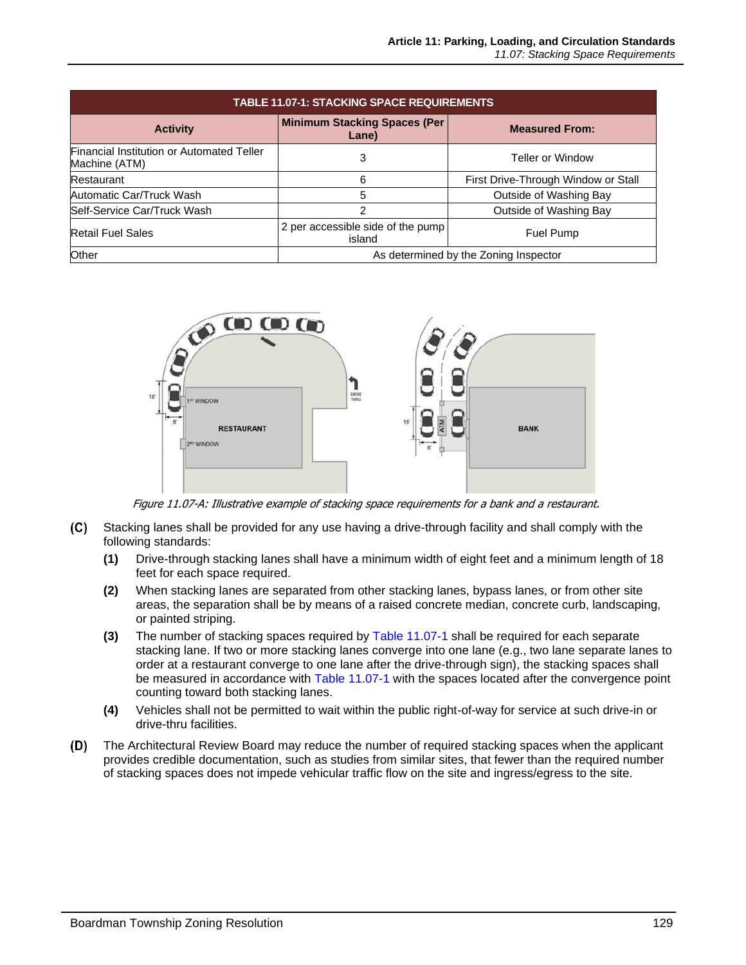<span id="page-10-0"></span>

| <b>TABLE 11.07-1: STACKING SPACE REQUIREMENTS</b>          |                                              |                                     |  |  |  |  |
|------------------------------------------------------------|----------------------------------------------|-------------------------------------|--|--|--|--|
| <b>Activity</b>                                            | <b>Minimum Stacking Spaces (Per</b><br>Lane) | <b>Measured From:</b>               |  |  |  |  |
| Financial Institution or Automated Teller<br>Machine (ATM) | 3                                            | <b>Teller or Window</b>             |  |  |  |  |
| Restaurant                                                 | ี                                            | First Drive-Through Window or Stall |  |  |  |  |
| Automatic Car/Truck Wash                                   | 5                                            | Outside of Washing Bay              |  |  |  |  |
| Self-Service Car/Truck Wash                                | 2                                            | Outside of Washing Bay              |  |  |  |  |
| <b>Retail Fuel Sales</b>                                   | 2 per accessible side of the pump<br>island  | <b>Fuel Pump</b>                    |  |  |  |  |
| Other                                                      | As determined by the Zoning Inspector        |                                     |  |  |  |  |



Figure 11.07-A: Illustrative example of stacking space requirements for a bank and a restaurant.

- <span id="page-10-1"></span>Stacking lanes shall be provided for any use having a drive-through facility and shall comply with the  $(C)$ following standards:
	- **(1)** Drive-through stacking lanes shall have a minimum width of eight feet and a minimum length of 18 feet for each space required.
	- **(2)** When stacking lanes are separated from other stacking lanes, bypass lanes, or from other site areas, the separation shall be by means of a raised concrete median, concrete curb, landscaping, or painted striping.
	- **(3)** The number of stacking spaces required by [Table 11.07-1](#page-10-0) shall be required for each separate stacking lane. If two or more stacking lanes converge into one lane (e.g., two lane separate lanes to order at a restaurant converge to one lane after the drive-through sign), the stacking spaces shall be measured in accordance with [Table 11.07-1](#page-10-0) with the spaces located after the convergence point counting toward both stacking lanes.
	- **(4)** Vehicles shall not be permitted to wait within the public right-of-way for service at such drive-in or drive-thru facilities.
- $(D)$ The Architectural Review Board may reduce the number of required stacking spaces when the applicant provides credible documentation, such as studies from similar sites, that fewer than the required number of stacking spaces does not impede vehicular traffic flow on the site and ingress/egress to the site.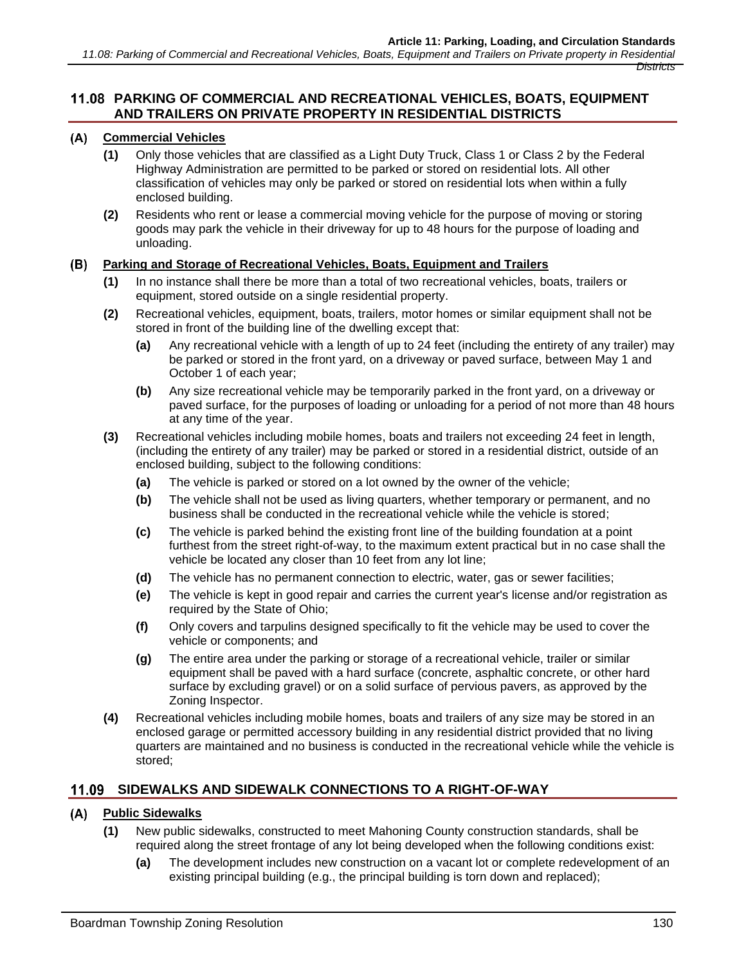# **PARKING OF COMMERCIAL AND RECREATIONAL VEHICLES, BOATS, EQUIPMENT AND TRAILERS ON PRIVATE PROPERTY IN RESIDENTIAL DISTRICTS**

# **Commercial Vehicles**

- **(1)** Only those vehicles that are classified as a Light Duty Truck, Class 1 or Class 2 by the Federal Highway Administration are permitted to be parked or stored on residential lots. All other classification of vehicles may only be parked or stored on residential lots when within a fully enclosed building.
- **(2)** Residents who rent or lease a commercial moving vehicle for the purpose of moving or storing goods may park the vehicle in their driveway for up to 48 hours for the purpose of loading and unloading.

#### **Parking and Storage of Recreational Vehicles, Boats, Equipment and Trailers**  (B)

- **(1)** In no instance shall there be more than a total of two recreational vehicles, boats, trailers or equipment, stored outside on a single residential property.
- **(2)** Recreational vehicles, equipment, boats, trailers, motor homes or similar equipment shall not be stored in front of the building line of the dwelling except that:
	- **(a)** Any recreational vehicle with a length of up to 24 feet (including the entirety of any trailer) may be parked or stored in the front yard, on a driveway or paved surface, between May 1 and October 1 of each year;
	- **(b)** Any size recreational vehicle may be temporarily parked in the front yard, on a driveway or paved surface, for the purposes of loading or unloading for a period of not more than 48 hours at any time of the year.
- **(3)** Recreational vehicles including mobile homes, boats and trailers not exceeding 24 feet in length, (including the entirety of any trailer) may be parked or stored in a residential district, outside of an enclosed building, subject to the following conditions:
	- **(a)** The vehicle is parked or stored on a lot owned by the owner of the vehicle;
	- **(b)** The vehicle shall not be used as living quarters, whether temporary or permanent, and no business shall be conducted in the recreational vehicle while the vehicle is stored;
	- **(c)** The vehicle is parked behind the existing front line of the building foundation at a point furthest from the street right-of-way, to the maximum extent practical but in no case shall the vehicle be located any closer than 10 feet from any lot line;
	- **(d)** The vehicle has no permanent connection to electric, water, gas or sewer facilities;
	- **(e)** The vehicle is kept in good repair and carries the current year's license and/or registration as required by the State of Ohio;
	- **(f)** Only covers and tarpulins designed specifically to fit the vehicle may be used to cover the vehicle or components; and
	- **(g)** The entire area under the parking or storage of a recreational vehicle, trailer or similar equipment shall be paved with a hard surface (concrete, asphaltic concrete, or other hard surface by excluding gravel) or on a solid surface of pervious pavers, as approved by the Zoning Inspector.
- **(4)** Recreational vehicles including mobile homes, boats and trailers of any size may be stored in an enclosed garage or permitted accessory building in any residential district provided that no living quarters are maintained and no business is conducted in the recreational vehicle while the vehicle is stored;

# **SIDEWALKS AND SIDEWALK CONNECTIONS TO A RIGHT-OF-WAY**

## **Public Sidewalks**

- **(1)** New public sidewalks, constructed to meet Mahoning County construction standards, shall be required along the street frontage of any lot being developed when the following conditions exist:
	- **(a)** The development includes new construction on a vacant lot or complete redevelopment of an existing principal building (e.g., the principal building is torn down and replaced);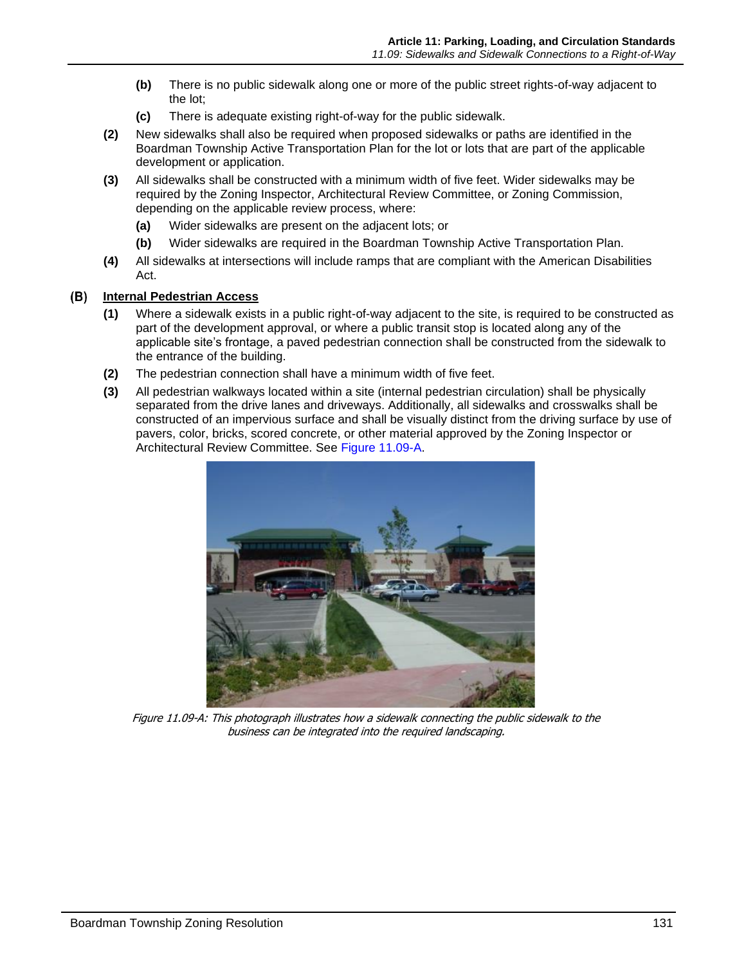- **(b)** There is no public sidewalk along one or more of the public street rights-of-way adjacent to the lot;
- **(c)** There is adequate existing right-of-way for the public sidewalk.
- **(2)** New sidewalks shall also be required when proposed sidewalks or paths are identified in the Boardman Township Active Transportation Plan for the lot or lots that are part of the applicable development or application.
- **(3)** All sidewalks shall be constructed with a minimum width of five feet. Wider sidewalks may be required by the Zoning Inspector, Architectural Review Committee, or Zoning Commission, depending on the applicable review process, where:
	- **(a)** Wider sidewalks are present on the adjacent lots; or
	- **(b)** Wider sidewalks are required in the Boardman Township Active Transportation Plan.
- **(4)** All sidewalks at intersections will include ramps that are compliant with the American Disabilities Act.

#### **Internal Pedestrian Access** (B)

- **(1)** Where a sidewalk exists in a public right-of-way adjacent to the site, is required to be constructed as part of the development approval, or where a public transit stop is located along any of the applicable site's frontage, a paved pedestrian connection shall be constructed from the sidewalk to the entrance of the building.
- **(2)** The pedestrian connection shall have a minimum width of five feet.
- **(3)** All pedestrian walkways located within a site (internal pedestrian circulation) shall be physically separated from the drive lanes and driveways. Additionally, all sidewalks and crosswalks shall be constructed of an impervious surface and shall be visually distinct from the driving surface by use of pavers, color, bricks, scored concrete, or other material approved by the Zoning Inspector or Architectural Review Committee. See [Figure 11.09-A.](#page-12-0)

<span id="page-12-0"></span>

Figure 11.09-A: This photograph illustrates how a sidewalk connecting the public sidewalk to the business can be integrated into the required landscaping.